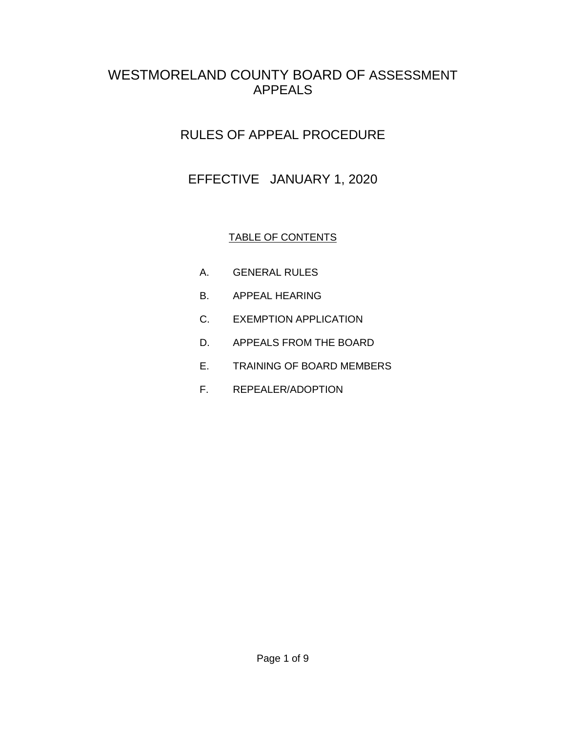# WESTMORELAND COUNTY BOARD OF ASSESSMENT APPEALS

# RULES OF APPEAL PROCEDURE

EFFECTIVE JANUARY 1, 2020

## TABLE OF CONTENTS

- A. GENERAL RULES
- B. APPEAL HEARING
- C. EXEMPTION APPLICATION
- D. APPEALS FROM THE BOARD
- E. TRAINING OF BOARD MEMBERS
- F. REPEALER/ADOPTION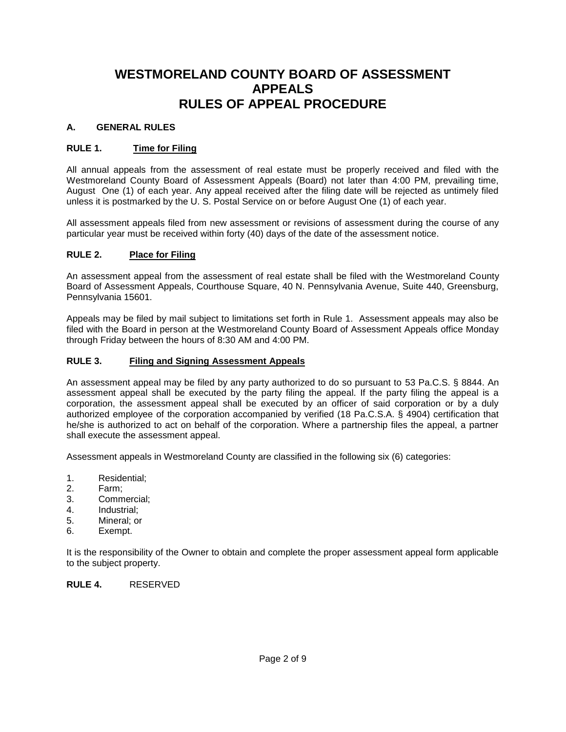## **WESTMORELAND COUNTY BOARD OF ASSESSMENT APPEALS RULES OF APPEAL PROCEDURE**

## **A. GENERAL RULES**

## **RULE 1. Time for Filing**

All annual appeals from the assessment of real estate must be properly received and filed with the Westmoreland County Board of Assessment Appeals (Board) not later than 4:00 PM, prevailing time, August One (1) of each year. Any appeal received after the filing date will be rejected as untimely filed unless it is postmarked by the U. S. Postal Service on or before August One (1) of each year.

All assessment appeals filed from new assessment or revisions of assessment during the course of any particular year must be received within forty (40) days of the date of the assessment notice.

## **RULE 2. Place for Filing**

An assessment appeal from the assessment of real estate shall be filed with the Westmoreland County Board of Assessment Appeals, Courthouse Square, 40 N. Pennsylvania Avenue, Suite 440, Greensburg, Pennsylvania 15601.

Appeals may be filed by mail subject to limitations set forth in Rule 1. Assessment appeals may also be filed with the Board in person at the Westmoreland County Board of Assessment Appeals office Monday through Friday between the hours of 8:30 AM and 4:00 PM.

### **RULE 3. Filing and Signing Assessment Appeals**

An assessment appeal may be filed by any party authorized to do so pursuant to 53 Pa.C.S. § 8844. An assessment appeal shall be executed by the party filing the appeal. If the party filing the appeal is a corporation, the assessment appeal shall be executed by an officer of said corporation or by a duly authorized employee of the corporation accompanied by verified (18 Pa.C.S.A. § 4904) certification that he/she is authorized to act on behalf of the corporation. Where a partnership files the appeal, a partner shall execute the assessment appeal.

Assessment appeals in Westmoreland County are classified in the following six (6) categories:

- 1. Residential;
- 2. Farm;
- 3. Commercial;
- 4. Industrial;
- 5. Mineral; or
- 6. Exempt.

It is the responsibility of the Owner to obtain and complete the proper assessment appeal form applicable to the subject property.

#### **RULE 4.** RESERVED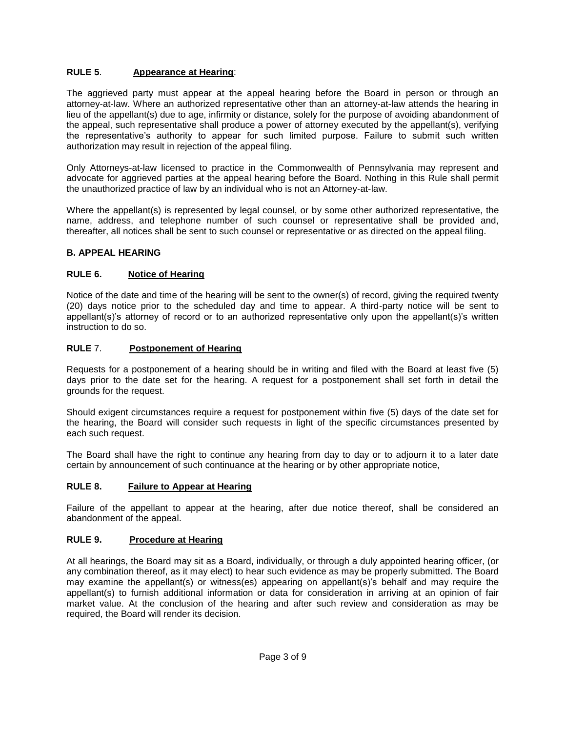## **RULE 5**. **Appearance at Hearing**:

The aggrieved party must appear at the appeal hearing before the Board in person or through an attorney-at-law. Where an authorized representative other than an attorney-at-law attends the hearing in lieu of the appellant(s) due to age, infirmity or distance, solely for the purpose of avoiding abandonment of the appeal, such representative shall produce a power of attorney executed by the appellant(s), verifying the representative's authority to appear for such limited purpose. Failure to submit such written authorization may result in rejection of the appeal filing.

Only Attorneys-at-law licensed to practice in the Commonwealth of Pennsylvania may represent and advocate for aggrieved parties at the appeal hearing before the Board. Nothing in this Rule shall permit the unauthorized practice of law by an individual who is not an Attorney-at-law.

Where the appellant(s) is represented by legal counsel, or by some other authorized representative, the name, address, and telephone number of such counsel or representative shall be provided and, thereafter, all notices shall be sent to such counsel or representative or as directed on the appeal filing.

#### **B. APPEAL HEARING**

#### **RULE 6. Notice of Hearing**

Notice of the date and time of the hearing will be sent to the owner(s) of record, giving the required twenty (20) days notice prior to the scheduled day and time to appear. A third-party notice will be sent to appellant(s)'s attorney of record or to an authorized representative only upon the appellant(s)'s written instruction to do so.

### **RULE** 7. **Postponement of Hearing**

Requests for a postponement of a hearing should be in writing and filed with the Board at least five (5) days prior to the date set for the hearing. A request for a postponement shall set forth in detail the grounds for the request.

Should exigent circumstances require a request for postponement within five (5) days of the date set for the hearing, the Board will consider such requests in light of the specific circumstances presented by each such request.

The Board shall have the right to continue any hearing from day to day or to adjourn it to a later date certain by announcement of such continuance at the hearing or by other appropriate notice,

#### **RULE 8. Failure to Appear at Hearing**

Failure of the appellant to appear at the hearing, after due notice thereof, shall be considered an abandonment of the appeal.

#### **RULE 9. Procedure at Hearing**

At all hearings, the Board may sit as a Board, individually, or through a duly appointed hearing officer, (or any combination thereof, as it may elect) to hear such evidence as may be properly submitted. The Board may examine the appellant(s) or witness(es) appearing on appellant(s)'s behalf and may require the appellant(s) to furnish additional information or data for consideration in arriving at an opinion of fair market value. At the conclusion of the hearing and after such review and consideration as may be required, the Board will render its decision.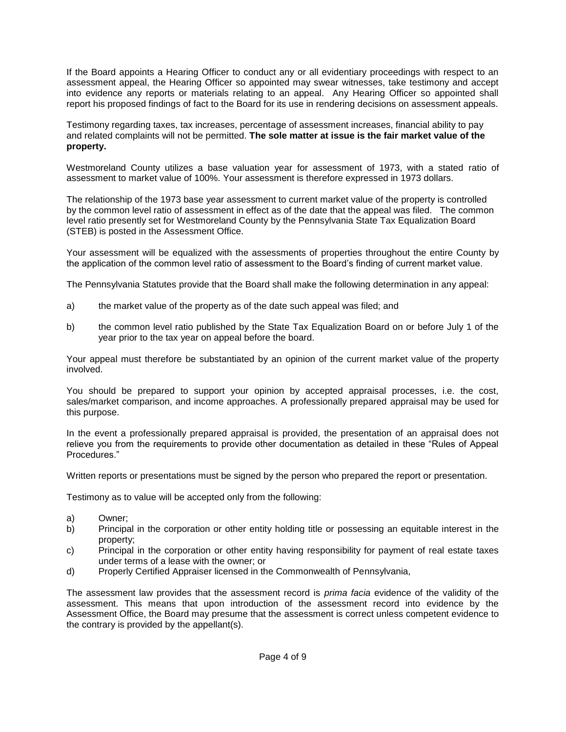If the Board appoints a Hearing Officer to conduct any or all evidentiary proceedings with respect to an assessment appeal, the Hearing Officer so appointed may swear witnesses, take testimony and accept into evidence any reports or materials relating to an appeal. Any Hearing Officer so appointed shall report his proposed findings of fact to the Board for its use in rendering decisions on assessment appeals.

Testimony regarding taxes, tax increases, percentage of assessment increases, financial ability to pay and related complaints will not be permitted. **The sole matter at issue is the fair market value of the property.**

Westmoreland County utilizes a base valuation year for assessment of 1973, with a stated ratio of assessment to market value of 100%. Your assessment is therefore expressed in 1973 dollars.

The relationship of the 1973 base year assessment to current market value of the property is controlled by the common level ratio of assessment in effect as of the date that the appeal was filed. The common level ratio presently set for Westmoreland County by the Pennsylvania State Tax Equalization Board (STEB) is posted in the Assessment Office.

Your assessment will be equalized with the assessments of properties throughout the entire County by the application of the common level ratio of assessment to the Board's finding of current market value.

The Pennsylvania Statutes provide that the Board shall make the following determination in any appeal:

- a) the market value of the property as of the date such appeal was filed; and
- b) the common level ratio published by the State Tax Equalization Board on or before July 1 of the year prior to the tax year on appeal before the board.

Your appeal must therefore be substantiated by an opinion of the current market value of the property involved.

You should be prepared to support your opinion by accepted appraisal processes, i.e. the cost, sales/market comparison, and income approaches. A professionally prepared appraisal may be used for this purpose.

In the event a professionally prepared appraisal is provided, the presentation of an appraisal does not relieve you from the requirements to provide other documentation as detailed in these "Rules of Appeal Procedures."

Written reports or presentations must be signed by the person who prepared the report or presentation.

Testimony as to value will be accepted only from the following:

- a) Owner;
- b) Principal in the corporation or other entity holding title or possessing an equitable interest in the property;
- c) Principal in the corporation or other entity having responsibility for payment of real estate taxes under terms of a lease with the owner; or
- d) Properly Certified Appraiser licensed in the Commonwealth of Pennsylvania,

The assessment law provides that the assessment record is *prima facia* evidence of the validity of the assessment. This means that upon introduction of the assessment record into evidence by the Assessment Office, the Board may presume that the assessment is correct unless competent evidence to the contrary is provided by the appellant(s).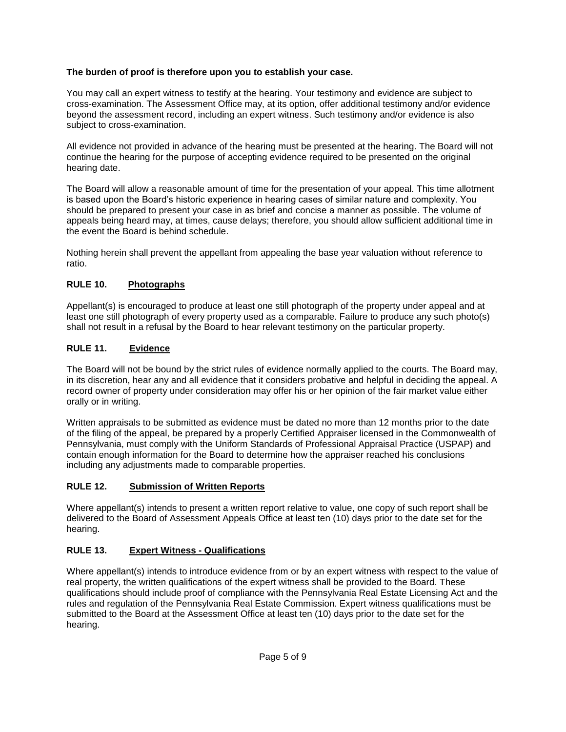## **The burden of proof is therefore upon you to establish your case.**

You may call an expert witness to testify at the hearing. Your testimony and evidence are subject to cross-examination. The Assessment Office may, at its option, offer additional testimony and/or evidence beyond the assessment record, including an expert witness. Such testimony and/or evidence is also subject to cross-examination.

All evidence not provided in advance of the hearing must be presented at the hearing. The Board will not continue the hearing for the purpose of accepting evidence required to be presented on the original hearing date.

The Board will allow a reasonable amount of time for the presentation of your appeal. This time allotment is based upon the Board's historic experience in hearing cases of similar nature and complexity. You should be prepared to present your case in as brief and concise a manner as possible. The volume of appeals being heard may, at times, cause delays; therefore, you should allow sufficient additional time in the event the Board is behind schedule.

Nothing herein shall prevent the appellant from appealing the base year valuation without reference to ratio.

## **RULE 10. Photographs**

Appellant(s) is encouraged to produce at least one still photograph of the property under appeal and at least one still photograph of every property used as a comparable. Failure to produce any such photo(s) shall not result in a refusal by the Board to hear relevant testimony on the particular property.

## **RULE 11. Evidence**

The Board will not be bound by the strict rules of evidence normally applied to the courts. The Board may, in its discretion, hear any and all evidence that it considers probative and helpful in deciding the appeal. A record owner of property under consideration may offer his or her opinion of the fair market value either orally or in writing.

Written appraisals to be submitted as evidence must be dated no more than 12 months prior to the date of the filing of the appeal, be prepared by a properly Certified Appraiser licensed in the Commonwealth of Pennsylvania, must comply with the Uniform Standards of Professional Appraisal Practice (USPAP) and contain enough information for the Board to determine how the appraiser reached his conclusions including any adjustments made to comparable properties.

## **RULE 12. Submission of Written Reports**

Where appellant(s) intends to present a written report relative to value, one copy of such report shall be delivered to the Board of Assessment Appeals Office at least ten (10) days prior to the date set for the hearing.

## **RULE 13. Expert Witness - Qualifications**

Where appellant(s) intends to introduce evidence from or by an expert witness with respect to the value of real property, the written qualifications of the expert witness shall be provided to the Board. These qualifications should include proof of compliance with the Pennsylvania Real Estate Licensing Act and the rules and regulation of the Pennsylvania Real Estate Commission. Expert witness qualifications must be submitted to the Board at the Assessment Office at least ten (10) days prior to the date set for the hearing.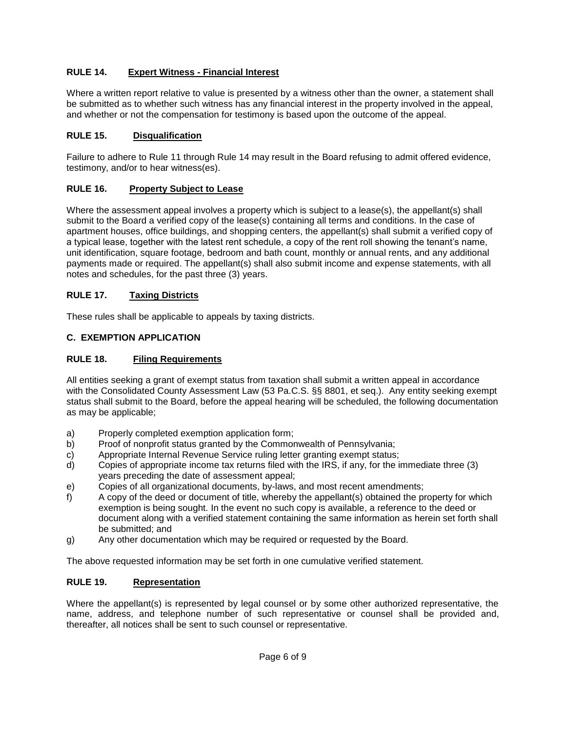## **RULE 14. Expert Witness - Financial Interest**

Where a written report relative to value is presented by a witness other than the owner, a statement shall be submitted as to whether such witness has any financial interest in the property involved in the appeal, and whether or not the compensation for testimony is based upon the outcome of the appeal.

## **RULE 15. Disqualification**

Failure to adhere to Rule 11 through Rule 14 may result in the Board refusing to admit offered evidence, testimony, and/or to hear witness(es).

### **RULE 16. Property Subject to Lease**

Where the assessment appeal involves a property which is subject to a lease(s), the appellant(s) shall submit to the Board a verified copy of the lease(s) containing all terms and conditions. In the case of apartment houses, office buildings, and shopping centers, the appellant(s) shall submit a verified copy of a typical lease, together with the latest rent schedule, a copy of the rent roll showing the tenant's name, unit identification, square footage, bedroom and bath count, monthly or annual rents, and any additional payments made or required. The appellant(s) shall also submit income and expense statements, with all notes and schedules, for the past three (3) years.

### **RULE 17. Taxing Districts**

These rules shall be applicable to appeals by taxing districts.

### **C. EXEMPTION APPLICATION**

### **RULE 18. Filing Requirements**

All entities seeking a grant of exempt status from taxation shall submit a written appeal in accordance with the Consolidated County Assessment Law (53 Pa.C.S. §§ 8801, et seq.). Any entity seeking exempt status shall submit to the Board, before the appeal hearing will be scheduled, the following documentation as may be applicable;

- a) Properly completed exemption application form;
- b) Proof of nonprofit status granted by the Commonwealth of Pennsylvania;
- c) Appropriate Internal Revenue Service ruling letter granting exempt status;
- d) Copies of appropriate income tax returns filed with the IRS, if any, for the immediate three (3) years preceding the date of assessment appeal;
- e) Copies of all organizational documents, by-laws, and most recent amendments;
- f) A copy of the deed or document of title, whereby the appellant(s) obtained the property for which exemption is being sought. In the event no such copy is available, a reference to the deed or document along with a verified statement containing the same information as herein set forth shall be submitted; and
- g) Any other documentation which may be required or requested by the Board.

The above requested information may be set forth in one cumulative verified statement.

#### **RULE 19. Representation**

Where the appellant(s) is represented by legal counsel or by some other authorized representative, the name, address, and telephone number of such representative or counsel shall be provided and, thereafter, all notices shall be sent to such counsel or representative.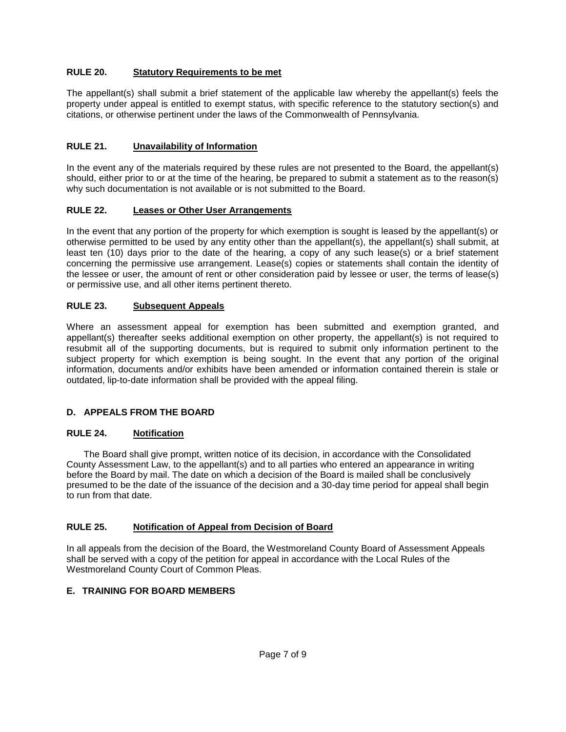## **RULE 20. Statutory Requirements to be met**

The appellant(s) shall submit a brief statement of the applicable law whereby the appellant(s) feels the property under appeal is entitled to exempt status, with specific reference to the statutory section(s) and citations, or otherwise pertinent under the laws of the Commonwealth of Pennsylvania.

### **RULE 21. Unavailability of Information**

In the event any of the materials required by these rules are not presented to the Board, the appellant(s) should, either prior to or at the time of the hearing, be prepared to submit a statement as to the reason(s) why such documentation is not available or is not submitted to the Board.

#### **RULE 22. Leases or Other User Arrangements**

In the event that any portion of the property for which exemption is sought is leased by the appellant(s) or otherwise permitted to be used by any entity other than the appellant(s), the appellant(s) shall submit, at least ten (10) days prior to the date of the hearing, a copy of any such lease(s) or a brief statement concerning the permissive use arrangement. Lease(s) copies or statements shall contain the identity of the lessee or user, the amount of rent or other consideration paid by lessee or user, the terms of lease(s) or permissive use, and all other items pertinent thereto.

#### **RULE 23. Subsequent Appeals**

Where an assessment appeal for exemption has been submitted and exemption granted, and appellant(s) thereafter seeks additional exemption on other property, the appellant(s) is not required to resubmit all of the supporting documents, but is required to submit only information pertinent to the subject property for which exemption is being sought. In the event that any portion of the original information, documents and/or exhibits have been amended or information contained therein is stale or outdated, lip-to-date information shall be provided with the appeal filing.

#### **D. APPEALS FROM THE BOARD**

## **RULE 24. Notification**

The Board shall give prompt, written notice of its decision, in accordance with the Consolidated County Assessment Law, to the appellant(s) and to all parties who entered an appearance in writing before the Board by mail. The date on which a decision of the Board is mailed shall be conclusively presumed to be the date of the issuance of the decision and a 30-day time period for appeal shall begin to run from that date.

#### **RULE 25. Notification of Appeal from Decision of Board**

In all appeals from the decision of the Board, the Westmoreland County Board of Assessment Appeals shall be served with a copy of the petition for appeal in accordance with the Local Rules of the Westmoreland County Court of Common Pleas.

## **E. TRAINING FOR BOARD MEMBERS**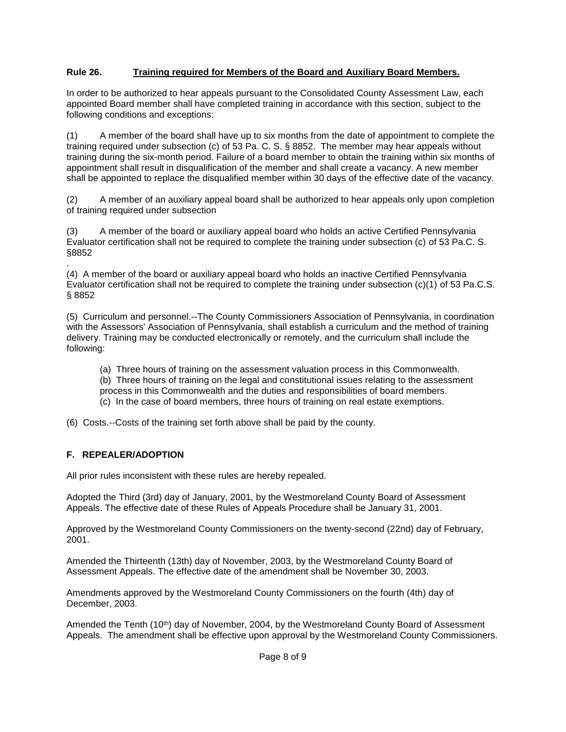## **Rule 26. Training required for Members of the Board and Auxiliary Board Members.**

In order to be authorized to hear appeals pursuant to the Consolidated County Assessment Law, each appointed Board member shall have completed training in accordance with this section, subject to the following conditions and exceptions:

(1) A member of the board shall have up to six months from the date of appointment to complete the training required under subsection (c) of 53 Pa. C. S. § 8852. The member may hear appeals without training during the six-month period. Failure of a board member to obtain the training within six months of appointment shall result in disqualification of the member and shall create a vacancy. A new member shall be appointed to replace the disqualified member within 30 days of the effective date of the vacancy.

(2) A member of an auxiliary appeal board shall be authorized to hear appeals only upon completion of training required under subsection

(3) A member of the board or auxiliary appeal board who holds an active Certified Pennsylvania Evaluator certification shall not be required to complete the training under subsection (c) of 53 Pa.C. S. §8852

. (4) A member of the board or auxiliary appeal board who holds an inactive Certified Pennsylvania Evaluator certification shall not be required to complete the training under subsection (c)(1) of 53 Pa.C.S. § 8852

(5) Curriculum and personnel.--The County Commissioners Association of Pennsylvania, in coordination with the Assessors' Association of Pennsylvania, shall establish a curriculum and the method of training delivery. Training may be conducted electronically or remotely, and the curriculum shall include the following:

- (a) Three hours of training on the assessment valuation process in this Commonwealth.
- (b) Three hours of training on the legal and constitutional issues relating to the assessment
- process in this Commonwealth and the duties and responsibilities of board members.
- (c) In the case of board members, three hours of training on real estate exemptions.

(6) Costs.--Costs of the training set forth above shall be paid by the county.

## **F. REPEALER/ADOPTION**

All prior rules inconsistent with these rules are hereby repealed.

Adopted the Third (3rd) day of January, 2001, by the Westmoreland County Board of Assessment Appeals. The effective date of these Rules of Appeals Procedure shall be January 31, 2001.

Approved by the Westmoreland County Commissioners on the twenty-second (22nd) day of February, 2001.

Amended the Thirteenth (13th) day of November, 2003, by the Westmoreland County Board of Assessment Appeals. The effective date of the amendment shall be November 30, 2003.

Amendments approved by the Westmoreland County Commissioners on the fourth (4th) day of December, 2003.

Amended the Tenth (10<sup>th</sup>) day of November, 2004, by the Westmoreland County Board of Assessment Appeals. The amendment shall be effective upon approval by the Westmoreland County Commissioners.